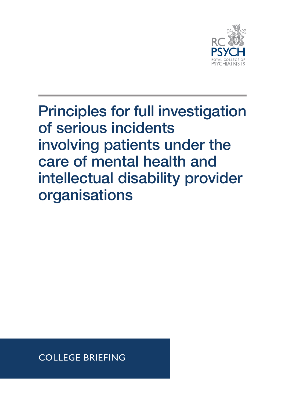

Principles for full investigation of serious incidents involving patients under the care of mental health and intellectual disability provider organisations

**COLLEGE BRIEFING**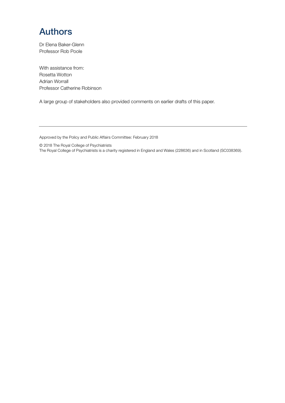## Authors

Dr Elena Baker-Glenn Professor Rob Poole

With assistance from: Rosetta Wotton Adrian Worrall Professor Catherine Robinson

A large group of stakeholders also provided comments on earlier drafts of this paper.

Approved by the Policy and Public Affairs Committee: February 2018

© 2018 The Royal College of Psychiatrists

The Royal College of Psychiatrists is a charity registered in England and Wales (228636) and in Scotland (SC038369).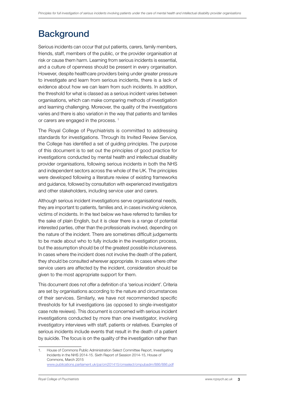## **Background**

Serious incidents can occur that put patients, carers, family members, friends, staff, members of the public, or the provider organisation at risk or cause them harm. Learning from serious incidents is essential, and a culture of openness should be present in every organisation. However, despite healthcare providers being under greater pressure to investigate and learn from serious incidents, there is a lack of evidence about how we can learn from such incidents. In addition, the threshold for what is classed as a serious incident varies between organisations, which can make comparing methods of investigation and learning challenging. Moreover, the quality of the investigations varies and there is also variation in the way that patients and families or carers are engaged in the process.<sup>1</sup>

The Royal College of Psychiatrists is committed to addressing standards for investigations. Through its Invited Review Service, the College has identified a set of guiding principles. The purpose of this document is to set out the principles of good practice for investigations conducted by mental health and intellectual disability provider organisations, following serious incidents in both the NHS and independent sectors across the whole of the UK. The principles were developed following a literature review of existing frameworks and guidance, followed by consultation with experienced investigators and other stakeholders, including service user and carers.

Although serious incident investigations serve organisational needs, they are important to patients, families and, in cases involving violence, victims of incidents. In the text below we have referred to families for the sake of plain English, but it is clear there is a range of potential interested parties, other than the professionals involved, depending on the nature of the incident. There are sometimes difficult judgements to be made about who to fully include in the investigation process, but the assumption should be of the greatest possible inclusiveness. In cases where the incident does not involve the death of the patient, they should be consulted wherever appropriate. In cases where other service users are affected by the incident, consideration should be given to the most appropriate support for them.

This document does not offer a definition of a 'serious incident'. Criteria are set by organisations according to the nature and circumstances of their services. Similarly, we have not recommended specific thresholds for full investigations (as opposed to single-investigator case note reviews). This document is concerned with serious incident investigations conducted by more than one investigator, involving investigatory interviews with staff, patients or relatives. Examples of serious incidents include events that result in the death of a patient by suicide. The focus is on the quality of the investigation rather than

<sup>1.</sup> House of Commons Public Administration Select Committee Report, Investigating Incidents in the NHS 2014-15. Sixth Report of Session 2014-15, House of Commons, March 2015 [www.publications.parliament.uk/pa/cm201415/cmselect/cmpubadm/886/886.pdf](http://www.publications.parliament.uk/pa/cm201415/cmselect/cmpubadm/886/886.pdf)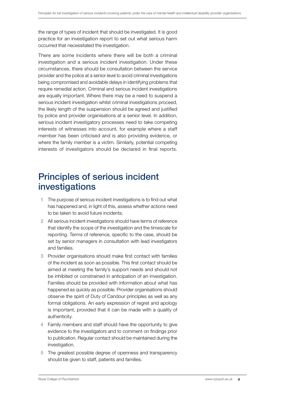the range of types of incident that should be investigated. It is good practice for an investigation report to set out what serious harm occurred that necessitated the investigation.

There are some incidents where there will be both a criminal investigation and a serious incident investigation. Under these circumstances, there should be consultation between the service provider and the police at a senior level to avoid criminal investigations being compromised and avoidable delays in identifying problems that require remedial action. Criminal and serious incident investigations are equally important. Where there may be a need to suspend a serious incident investigation whilst criminal investigations proceed, the likely length of the suspension should be agreed and justified by police and provider organisations at a senior level. In addition, serious incident investigatory processes need to take competing interests of witnesses into account, for example where a staff member has been criticised and is also providing evidence, or where the family member is a victim. Similarly, potential competing interests of investigators should be declared in final reports.

## Principles of serious incident investigations

- 1 The purpose of serious incident investigations is to find out what has happened and, in light of this, assess whether actions need to be taken to avoid future incidents.
- 2 All serious incident investigations should have terms of reference that identify the scope of the investigation and the timescale for reporting. Terms of reference, specific to the case, should be set by senior managers in consultation with lead investigators and families.
- 3 Provider organisations should make first contact with families of the incident as soon as possible. This first contact should be aimed at meeting the family's support needs and should not be inhibited or constrained in anticipation of an investigation. Families should be provided with information about what has happened as quickly as possible. Provider organisations should observe the spirit of Duty of Candour principles as well as any formal obligations. An early expression of regret and apology is important, provided that it can be made with a quality of authenticity.
- 4 Family members and staff should have the opportunity to give evidence to the investigators and to comment on findings prior to publication. Regular contact should be maintained during the investigation.
- 5 The greatest possible degree of openness and transparency should be given to staff, patients and families.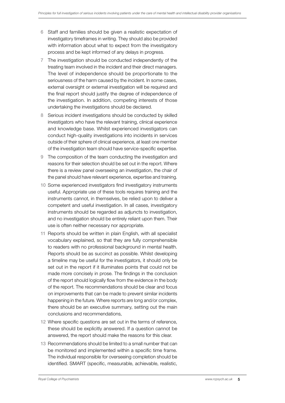- 6 Staff and families should be given a realistic expectation of investigatory timeframes in writing. They should also be provided with information about what to expect from the investigatory process and be kept informed of any delays in progress.
- 7 The investigation should be conducted independently of the treating team involved in the incident and their direct managers. The level of independence should be proportionate to the seriousness of the harm caused by the incident. In some cases, external oversight or external investigation will be required and the final report should justify the degree of independence of the investigation. In addition, competing interests of those undertaking the investigations should be declared.
- 8 Serious incident investigations should be conducted by skilled investigators who have the relevant training, clinical experience and knowledge base. Whilst experienced investigators can conduct high-quality investigations into incidents in services outside of their sphere of clinical experience, at least one member of the investigation team should have service-specific expertise.
- 9 The composition of the team conducting the investigation and reasons for their selection should be set out in the report. Where there is a review panel overseeing an investigation, the chair of the panel should have relevant experience, expertise and training.
- 10 Some experienced investigators find investigatory instruments useful. Appropriate use of these tools requires training and the instruments cannot, in themselves, be relied upon to deliver a competent and useful investigation. In all cases, investigatory instruments should be regarded as adjuncts to investigation, and no investigation should be entirely reliant upon them. Their use is often neither necessary nor appropriate.
- 11 Reports should be written in plain English, with all specialist vocabulary explained, so that they are fully comprehensible to readers with no professional background in mental health. Reports should be as succinct as possible. Whilst developing a timeline may be useful for the investigators, it should only be set out in the report if it illuminates points that could not be made more concisely in prose. The findings in the conclusion of the report should logically flow from the evidence in the body of the report. The recommendations should be clear and focus on improvements that can be made to prevent similar incidents happening in the future. Where reports are long and/or complex, there should be an executive summary, setting out the main conclusions and recommendations,
- 12 Where specific questions are set out in the terms of reference, these should be explicitly answered. If a question cannot be answered, the report should make the reasons for this clear.
- 13 Recommendations should be limited to a small number that can be monitored and implemented within a specific time frame. The individual responsible for overseeing completion should be identified. SMART (specific, measurable, achievable, realistic,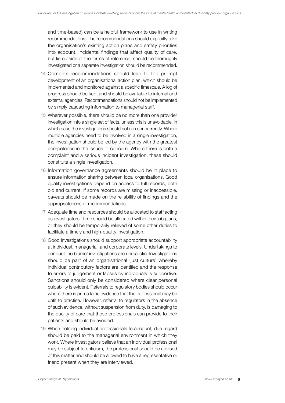and time-based) can be a helpful framework to use in writing recommendations. The recommendations should explicitly take the organisation's existing action plans and safety priorities into account. Incidental findings that affect quality of care, but lie outside of the terms of reference, should be thoroughly investigated or a separate investigation should be recommended.

- 14 Complex recommendations should lead to the prompt development of an organisational action plan, which should be implemented and monitored against a specific timescale. A log of progress should be kept and should be available to internal and external agencies. Recommendations should not be implemented by simply cascading information to managerial staff.
- 15 Wherever possible, there should be no more than one provider investigation into a single set of facts, unless this is unavoidable, in which case the investigations should not run concurrently. Where multiple agencies need to be involved in a single investigation, the investigation should be led by the agency with the greatest competence in the issues of concern. Where there is both a complaint and a serious incident investigation, these should constitute a single investigation.
- 16 Information governance agreements should be in place to ensure information sharing between local organisations. Good quality investigations depend on access to full records, both old and current. If some records are missing or inaccessible, caveats should be made on the reliability of findings and the appropriateness of recommendations.
- 17 Adequate time and resources should be allocated to staff acting as investigators. Time should be allocated within their job plans, or they should be temporarily relieved of some other duties to facilitate a timely and high-quality investigation.
- 18 Good investigations should support appropriate accountability at individual, managerial, and corporate levels. Undertakings to conduct 'no blame' investigations are unrealistic. Investigations should be part of an organisational 'just culture' whereby individual contributory factors are identified and the response to errors of judgement or lapses by individuals is supportive. Sanctions should only be considered where clear personal culpability is evident. Referrals to regulatory bodies should occur where there is prima facie evidence that the professional may be unfit to practise. However, referral to regulators in the absence of such evidence, without suspension from duty, is damaging to the quality of care that those professionals can provide to their patients and should be avoided.
- 19 When holding individual professionals to account, due regard should be paid to the managerial environment in which they work. Where investigators believe that an individual professional may be subject to criticism, the professional should be advised of this matter and should be allowed to have a representative or friend present when they are interviewed.